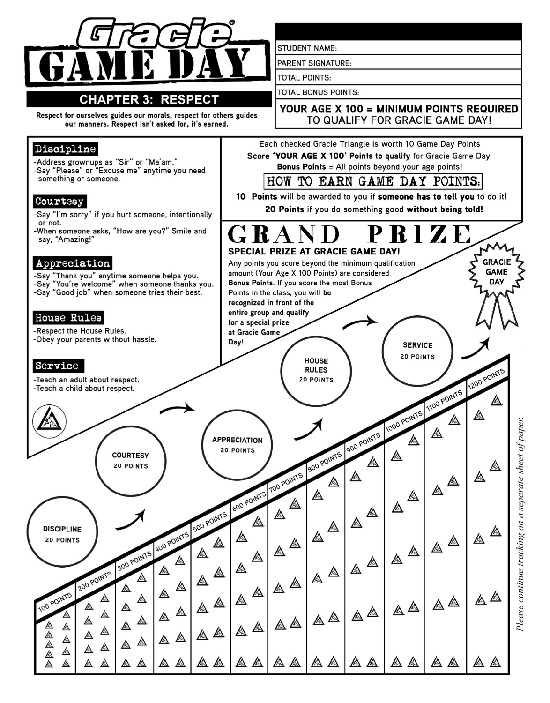

# **CHAPTER 3: RESPECT**

Respect for ourselves guides our morals, respect for others guides our manners. Respect isn't asked for, it's earned.

# Discipline

-Address grownups as "Sir" or "Ma'am." -Say "Please" or "Excuse me" anytime you need something or someone.

#### Courtesy

-Say "I'm sorry" if you hurt someone, intentionally or not.

-When someone asks, "How are you?" Smile and say, "Amazing!"

### Appreciation

-Say "Thank you" anytime someone helps you.<br>-Say "You're welcome" when someone thanks you. -Say "Good job" when someone tries their best.

### House Rules

-Respect the House Rules. -Obey your parents without hassle.

# Service

-Teach an adult about respect. -Teach a child about respect.

**STUDENT NAME:** 

**PARENT SIGNATURE:** 

**TOTAL POINTS:** 

**TOTAL BONUS POINTS:** 

**RULES** 

**20 POINTS** 

### YOUR AGE X 100 = MINIMUM POINTS REQUIRED TO QUALIFY FOR GRACIE GAME DAY!

Each checked Gracie Triangle is worth 10 Game Day Points Score 'YOUR AGE X 100' Points to qualify for Gracie Game Day Bonus Points = All points beyond your age points!

HOW TO EARN GAME DAY POINTS.

10 Points will be awarded to you if someone has to tell you to do it! 20 Points if you do something good without being told!

RIZE  $\mathbf{r}$ SPECIAL PRIZE AT GRACIE GAME DAY! **GRACIE** Any points you score beyond the minimum qualification **GAME** amount (Your Age X 100 Points) are considered **DAY** Bonus Points. If you score the most Bonus Points in the class, you will be recognized in front of the entire group and qualify for a special prize at Gracie Game Day! **SERVICE 20 POINTS HOUSE** 

Please continue tracking on a separate sheet of paper

1200 POINTS

⚠

1100 POINTS